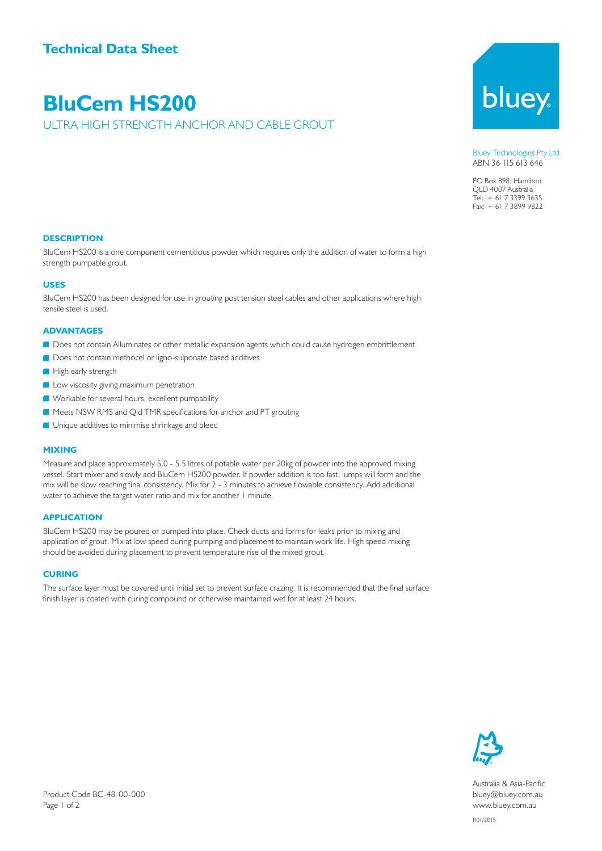## **BluCem HS200**

ULTRA HIGH STRENGTH ANCHOR AND CABLE GROUT

# bluey

Bluey Technologies Pty Ltd ABN 36 115 613 646

PO Box 898, Hamilton QLD 4007 Australia Tel: + 61 7 3399 3635 Fax: + 61 7 3899 9822

#### **DESCRIPTION**

BluCem HS200 is a one component cementitious powder which requires only the addition of water to form a high strength pumpable grout.

#### **USES**

BluCem HS200 has been designed for use in grouting post tension steel cables and other applications where high tensile steel is used.

#### **ADVANTAGES**

- Does not contain Alluminates or other metallic expansion agents which could cause hydrogen embrittlement
- **OD** Does not contain methocel or ligno-sulponate based additives
- High early strength
- **Low viscosity giving maximum penetration**
- Workable for several hours, excellent pumpability
- Meets NSW RMS and Qld TMR specifications for anchor and PT grouting
- **Unique additives to minimise shrinkage and bleed**

#### **MIXING**

Measure and place approximately 5.0 - 5.5 litres of potable water per 20kg of powder into the approved mixing vessel. Start mixer and slowly add BluCem HS200 powder. If powder addition is too fast, lumps will form and the mix will be slow reaching final consistency. Mix for 2 - 3 minutes to achieve flowable consistency. Add additional water to achieve the target water ratio and mix for another 1 minute.

#### **APPLICATION**

BluCem HS200 may be poured or pumped into place. Check ducts and forms for leaks prior to mixing and application of grout. Mix at low speed during pumping and placement to maintain work life. High speed mixing should be avoided during placement to prevent temperature rise of the mixed grout.

#### **CURING**

The surface layer must be covered until initial set to prevent surface crazing. It is recommended that the final surface finish layer is coated with curing compound or otherwise maintained wet for at least 24 hours.



Australia & Asia-Pacific bluey@bluey.com.au www.bluey.com.au